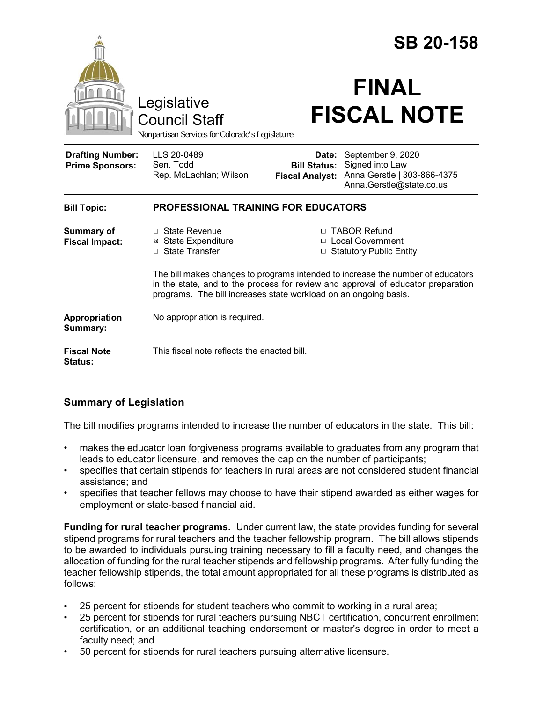|                                                                                        |                                                                                                                                                                                                                                         | <b>SB 20-158</b>                                       |                                                                                                 |  |
|----------------------------------------------------------------------------------------|-----------------------------------------------------------------------------------------------------------------------------------------------------------------------------------------------------------------------------------------|--------------------------------------------------------|-------------------------------------------------------------------------------------------------|--|
| Legislative<br><b>Council Staff</b><br>Nonpartisan Services for Colorado's Legislature |                                                                                                                                                                                                                                         | <b>FINAL</b><br><b>FISCAL NOTE</b>                     |                                                                                                 |  |
| <b>Drafting Number:</b><br><b>Prime Sponsors:</b>                                      | LLS 20-0489<br>Sen. Todd<br>Rep. McLachlan; Wilson                                                                                                                                                                                      | Date:<br><b>Bill Status:</b><br><b>Fiscal Analyst:</b> | September 9, 2020<br>Signed into Law<br>Anna Gerstle   303-866-4375<br>Anna.Gerstle@state.co.us |  |
| <b>Bill Topic:</b>                                                                     | <b>PROFESSIONAL TRAINING FOR EDUCATORS</b>                                                                                                                                                                                              |                                                        |                                                                                                 |  |
| <b>Summary of</b><br><b>Fiscal Impact:</b>                                             | □ State Revenue<br><b>⊠</b> State Expenditure<br>□ State Transfer                                                                                                                                                                       |                                                        | □ TABOR Refund<br>□ Local Government<br><b>Statutory Public Entity</b>                          |  |
|                                                                                        | The bill makes changes to programs intended to increase the number of educators<br>in the state, and to the process for review and approval of educator preparation<br>programs. The bill increases state workload on an ongoing basis. |                                                        |                                                                                                 |  |
| Appropriation<br>Summary:                                                              | No appropriation is required.                                                                                                                                                                                                           |                                                        |                                                                                                 |  |
| <b>Fiscal Note</b><br>Status:                                                          | This fiscal note reflects the enacted bill.                                                                                                                                                                                             |                                                        |                                                                                                 |  |

# **Summary of Legislation**

The bill modifies programs intended to increase the number of educators in the state. This bill:

- makes the educator loan forgiveness programs available to graduates from any program that leads to educator licensure, and removes the cap on the number of participants;
- specifies that certain stipends for teachers in rural areas are not considered student financial assistance; and
- specifies that teacher fellows may choose to have their stipend awarded as either wages for employment or state-based financial aid.

**Funding for rural teacher programs.** Under current law, the state provides funding for several stipend programs for rural teachers and the teacher fellowship program. The bill allows stipends to be awarded to individuals pursuing training necessary to fill a faculty need, and changes the allocation of funding for the rural teacher stipends and fellowship programs. After fully funding the teacher fellowship stipends, the total amount appropriated for all these programs is distributed as follows:

- 25 percent for stipends for student teachers who commit to working in a rural area;
- 25 percent for stipends for rural teachers pursuing NBCT certification, concurrent enrollment certification, or an additional teaching endorsement or master's degree in order to meet a faculty need; and
- 50 percent for stipends for rural teachers pursuing alternative licensure.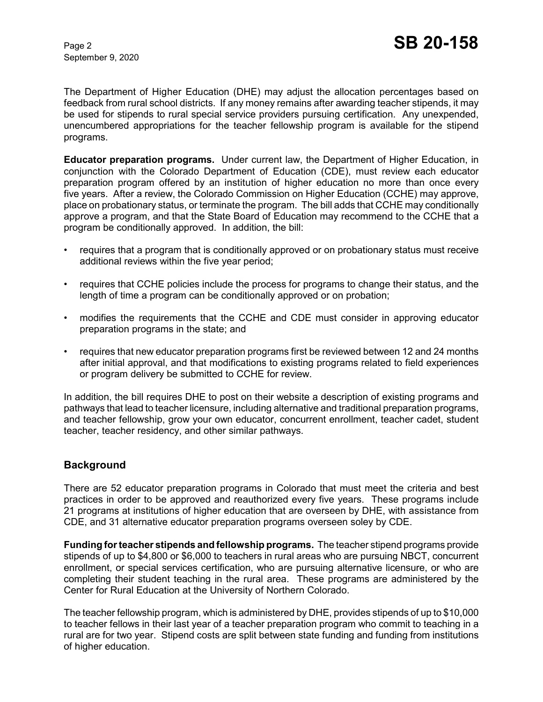September 9, 2020

The Department of Higher Education (DHE) may adjust the allocation percentages based on feedback from rural school districts. If any money remains after awarding teacher stipends, it may be used for stipends to rural special service providers pursuing certification. Any unexpended, unencumbered appropriations for the teacher fellowship program is available for the stipend programs.

**Educator preparation programs.** Under current law, the Department of Higher Education, in conjunction with the Colorado Department of Education (CDE), must review each educator preparation program offered by an institution of higher education no more than once every five years. After a review, the Colorado Commission on Higher Education (CCHE) may approve, place on probationary status, or terminate the program. The bill adds that CCHE may conditionally approve a program, and that the State Board of Education may recommend to the CCHE that a program be conditionally approved. In addition, the bill:

- requires that a program that is conditionally approved or on probationary status must receive additional reviews within the five year period;
- requires that CCHE policies include the process for programs to change their status, and the length of time a program can be conditionally approved or on probation;
- modifies the requirements that the CCHE and CDE must consider in approving educator preparation programs in the state; and
- requires that new educator preparation programs first be reviewed between 12 and 24 months after initial approval, and that modifications to existing programs related to field experiences or program delivery be submitted to CCHE for review.

In addition, the bill requires DHE to post on their website a description of existing programs and pathways that lead to teacher licensure, including alternative and traditional preparation programs, and teacher fellowship, grow your own educator, concurrent enrollment, teacher cadet, student teacher, teacher residency, and other similar pathways.

## **Background**

There are 52 educator preparation programs in Colorado that must meet the criteria and best practices in order to be approved and reauthorized every five years. These programs include 21 programs at institutions of higher education that are overseen by DHE, with assistance from CDE, and 31 alternative educator preparation programs overseen soley by CDE.

**Funding for teacher stipends and fellowship programs.** The teacher stipend programs provide stipends of up to \$4,800 or \$6,000 to teachers in rural areas who are pursuing NBCT, concurrent enrollment, or special services certification, who are pursuing alternative licensure, or who are completing their student teaching in the rural area. These programs are administered by the Center for Rural Education at the University of Northern Colorado.

The teacher fellowship program, which is administered by DHE, provides stipends of up to \$10,000 to teacher fellows in their last year of a teacher preparation program who commit to teaching in a rural are for two year. Stipend costs are split between state funding and funding from institutions of higher education.